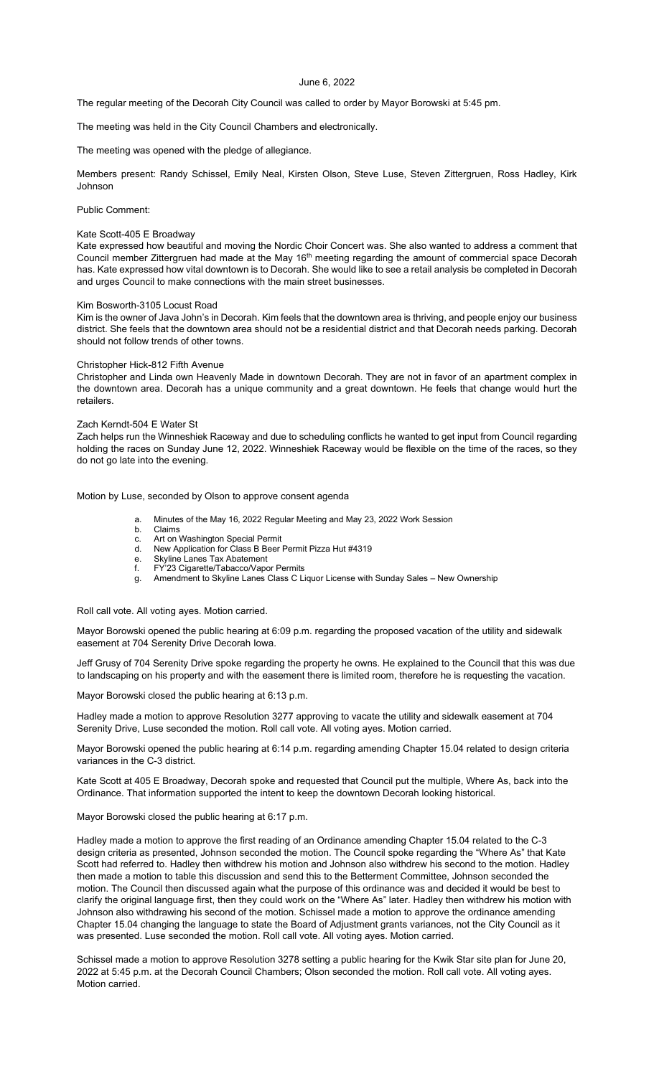June 6, 2022

The regular meeting of the Decorah City Council was called to order by Mayor Borowski at 5:45 pm.

The meeting was held in the City Council Chambers and electronically.

The meeting was opened with the pledge of allegiance.

Members present: Randy Schissel, Emily Neal, Kirsten Olson, Steve Luse, Steven Zittergruen, Ross Hadley, Kirk Johnson

Public Comment:

## Kate Scott-405 E Broadway

Kate expressed how beautiful and moving the Nordic Choir Concert was. She also wanted to address a comment that Council member Zittergruen had made at the May 16<sup>th</sup> meeting regarding the amount of commercial space Decorah has. Kate expressed how vital downtown is to Decorah. She would like to see a retail analysis be completed in Decorah and urges Council to make connections with the main street businesses.

## Kim Bosworth-3105 Locust Road

Kim is the owner of Java John's in Decorah. Kim feels that the downtown area is thriving, and people enjoy our business district. She feels that the downtown area should not be a residential district and that Decorah needs parking. Decorah should not follow trends of other towns.

## Christopher Hick-812 Fifth Avenue

Christopher and Linda own Heavenly Made in downtown Decorah. They are not in favor of an apartment complex in the downtown area. Decorah has a unique community and a great downtown. He feels that change would hurt the retailers.

## Zach Kerndt-504 E Water St

Zach helps run the Winneshiek Raceway and due to scheduling conflicts he wanted to get input from Council regarding holding the races on Sunday June 12, 2022. Winneshiek Raceway would be flexible on the time of the races, so they do not go late into the evening.

Motion by Luse, seconded by Olson to approve consent agenda

- a. Minutes of the May 16, 2022 Regular Meeting and May 23, 2022 Work Session
- **Claims**
- c. Art on Washington Special Permit<br>d. New Application for Class B Beer I d. New Application for Class B Beer Permit Pizza Hut #4319<br>e. Skyline Lanes Tax Abatement
- e. Skyline Lanes Tax Abatement<br>f FY'23 Cigarette/Tabacco/Vapo
- f. FY'23 Cigarette/Tabacco/Vapor Permits
- g. Amendment to Skyline Lanes Class C Liquor License with Sunday Sales New Ownership

Roll call vote. All voting ayes. Motion carried.

Mayor Borowski opened the public hearing at 6:09 p.m. regarding the proposed vacation of the utility and sidewalk easement at 704 Serenity Drive Decorah Iowa.

Jeff Grusy of 704 Serenity Drive spoke regarding the property he owns. He explained to the Council that this was due to landscaping on his property and with the easement there is limited room, therefore he is requesting the vacation.

Mayor Borowski closed the public hearing at 6:13 p.m.

Hadley made a motion to approve Resolution 3277 approving to vacate the utility and sidewalk easement at 704 Serenity Drive, Luse seconded the motion. Roll call vote. All voting ayes. Motion carried.

Mayor Borowski opened the public hearing at 6:14 p.m. regarding amending Chapter 15.04 related to design criteria variances in the C-3 district.

Kate Scott at 405 E Broadway, Decorah spoke and requested that Council put the multiple, Where As, back into the Ordinance. That information supported the intent to keep the downtown Decorah looking historical.

Mayor Borowski closed the public hearing at 6:17 p.m.

Hadley made a motion to approve the first reading of an Ordinance amending Chapter 15.04 related to the C-3 design criteria as presented, Johnson seconded the motion. The Council spoke regarding the "Where As" that Kate Scott had referred to. Hadley then withdrew his motion and Johnson also withdrew his second to the motion. Hadley then made a motion to table this discussion and send this to the Betterment Committee, Johnson seconded the motion. The Council then discussed again what the purpose of this ordinance was and decided it would be best to clarify the original language first, then they could work on the "Where As" later. Hadley then withdrew his motion with Johnson also withdrawing his second of the motion. Schissel made a motion to approve the ordinance amending Chapter 15.04 changing the language to state the Board of Adjustment grants variances, not the City Council as it was presented. Luse seconded the motion. Roll call vote. All voting ayes. Motion carried.

Schissel made a motion to approve Resolution 3278 setting a public hearing for the Kwik Star site plan for June 20, 2022 at 5:45 p.m. at the Decorah Council Chambers; Olson seconded the motion. Roll call vote. All voting ayes. Motion carried.